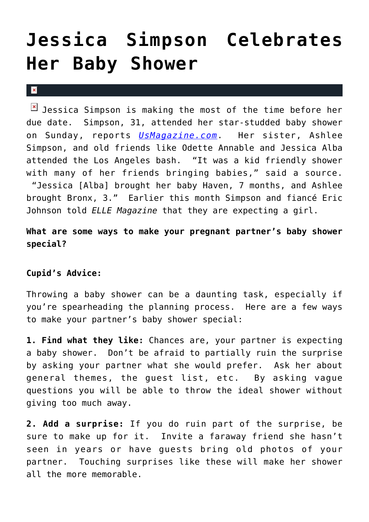## **[Jessica Simpson Celebrates](https://cupidspulse.com/28954/jessica-simpson-celebrates-baby-shower-eric-johnson-pregnant/) [Her Baby Shower](https://cupidspulse.com/28954/jessica-simpson-celebrates-baby-shower-eric-johnson-pregnant/)**

 $\vert \mathbf{x} \vert$ 

 $\boxed{\times}$  Jessica Simpson is making the most of the time before her due date. Simpson, 31, attended her star-studded baby shower on Sunday, reports *[UsMagazine.com](http://www.usmagazine.com/celebrity-moms/news/inside-jessica-simpsons-star-studded-pink-baby-shower-2012183)*. Her sister, Ashlee Simpson, and old friends like Odette Annable and Jessica Alba attended the Los Angeles bash. "It was a kid friendly shower with many of her friends bringing babies," said a source. "Jessica [Alba] brought her baby Haven, 7 months, and Ashlee brought Bronx, 3." Earlier this month Simpson and fiancé Eric Johnson told *ELLE Magazine* that they are expecting a girl.

**What are some ways to make your pregnant partner's baby shower special?**

## **Cupid's Advice:**

Throwing a baby shower can be a daunting task, especially if you're spearheading the planning process. Here are a few ways to make your partner's baby shower special:

**1. Find what they like:** Chances are, your partner is expecting a baby shower. Don't be afraid to partially ruin the surprise by asking your partner what she would prefer. Ask her about general themes, the guest list, etc. By asking vague questions you will be able to throw the ideal shower without giving too much away.

**2. Add a surprise:** If you do ruin part of the surprise, be sure to make up for it. Invite a faraway friend she hasn't seen in years or have guests bring old photos of your partner. Touching surprises like these will make her shower all the more memorable.